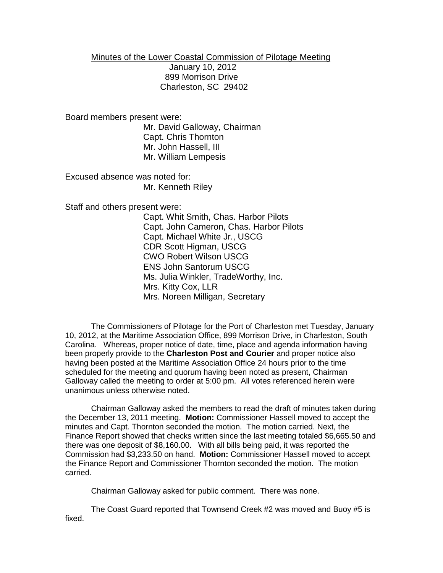Minutes of the Lower Coastal Commission of Pilotage Meeting January 10, 2012 899 Morrison Drive Charleston, SC 29402

Board members present were:

Mr. David Galloway, Chairman Capt. Chris Thornton Mr. John Hassell, III Mr. William Lempesis

Excused absence was noted for: Mr. Kenneth Riley

Staff and others present were:

Capt. Whit Smith, Chas. Harbor Pilots Capt. John Cameron, Chas. Harbor Pilots Capt. Michael White Jr., USCG CDR Scott Higman, USCG CWO Robert Wilson USCG ENS John Santorum USCG Ms. Julia Winkler, TradeWorthy, Inc. Mrs. Kitty Cox, LLR Mrs. Noreen Milligan, Secretary

The Commissioners of Pilotage for the Port of Charleston met Tuesday, January 10, 2012, at the Maritime Association Office, 899 Morrison Drive, in Charleston, South Carolina. Whereas, proper notice of date, time, place and agenda information having been properly provide to the **Charleston Post and Courier** and proper notice also having been posted at the Maritime Association Office 24 hours prior to the time scheduled for the meeting and quorum having been noted as present, Chairman Galloway called the meeting to order at 5:00 pm. All votes referenced herein were unanimous unless otherwise noted.

Chairman Galloway asked the members to read the draft of minutes taken during the December 13, 2011 meeting. **Motion:** Commissioner Hassell moved to accept the minutes and Capt. Thornton seconded the motion. The motion carried. Next, the Finance Report showed that checks written since the last meeting totaled \$6,665.50 and there was one deposit of \$8,160.00. With all bills being paid, it was reported the Commission had \$3,233.50 on hand. **Motion:** Commissioner Hassell moved to accept the Finance Report and Commissioner Thornton seconded the motion. The motion carried.

Chairman Galloway asked for public comment. There was none.

The Coast Guard reported that Townsend Creek #2 was moved and Buoy #5 is fixed.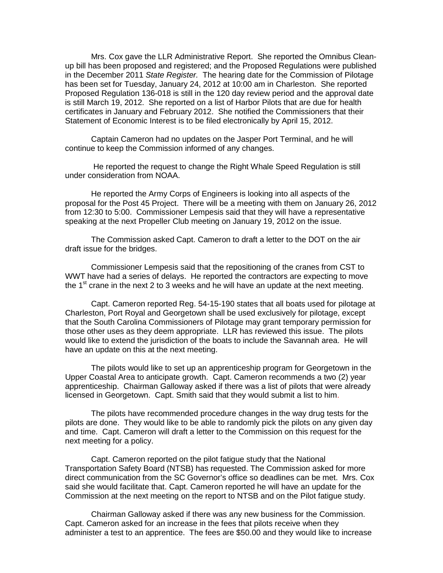Mrs. Cox gave the LLR Administrative Report. She reported the Omnibus Cleanup bill has been proposed and registered; and the Proposed Regulations were published in the December 2011 *State Register.* The hearing date for the Commission of Pilotage has been set for Tuesday, January 24, 2012 at 10:00 am in Charleston. She reported Proposed Regulation 136-018 is still in the 120 day review period and the approval date is still March 19, 2012. She reported on a list of Harbor Pilots that are due for health certificates in January and February 2012. She notified the Commissioners that their Statement of Economic Interest is to be filed electronically by April 15, 2012.

Captain Cameron had no updates on the Jasper Port Terminal, and he will continue to keep the Commission informed of any changes.

He reported the request to change the Right Whale Speed Regulation is still under consideration from NOAA.

He reported the Army Corps of Engineers is looking into all aspects of the proposal for the Post 45 Project. There will be a meeting with them on January 26, 2012 from 12:30 to 5:00. Commissioner Lempesis said that they will have a representative speaking at the next Propeller Club meeting on January 19, 2012 on the issue.

The Commission asked Capt. Cameron to draft a letter to the DOT on the air draft issue for the bridges.

Commissioner Lempesis said that the repositioning of the cranes from CST to WWT have had a series of delays. He reported the contractors are expecting to move the  $1<sup>st</sup>$  crane in the next 2 to 3 weeks and he will have an update at the next meeting.

Capt. Cameron reported Reg. 54-15-190 states that all boats used for pilotage at Charleston, Port Royal and Georgetown shall be used exclusively for pilotage, except that the South Carolina Commissioners of Pilotage may grant temporary permission for those other uses as they deem appropriate. LLR has reviewed this issue. The pilots would like to extend the jurisdiction of the boats to include the Savannah area. He will have an update on this at the next meeting.

The pilots would like to set up an apprenticeship program for Georgetown in the Upper Coastal Area to anticipate growth. Capt. Cameron recommends a two (2) year apprenticeship. Chairman Galloway asked if there was a list of pilots that were already licensed in Georgetown. Capt. Smith said that they would submit a list to him.

The pilots have recommended procedure changes in the way drug tests for the pilots are done. They would like to be able to randomly pick the pilots on any given day and time. Capt. Cameron will draft a letter to the Commission on this request for the next meeting for a policy.

Capt. Cameron reported on the pilot fatigue study that the National Transportation Safety Board (NTSB) has requested. The Commission asked for more direct communication from the SC Governor's office so deadlines can be met. Mrs. Cox said she would facilitate that. Capt. Cameron reported he will have an update for the Commission at the next meeting on the report to NTSB and on the Pilot fatigue study.

Chairman Galloway asked if there was any new business for the Commission. Capt. Cameron asked for an increase in the fees that pilots receive when they administer a test to an apprentice. The fees are \$50.00 and they would like to increase